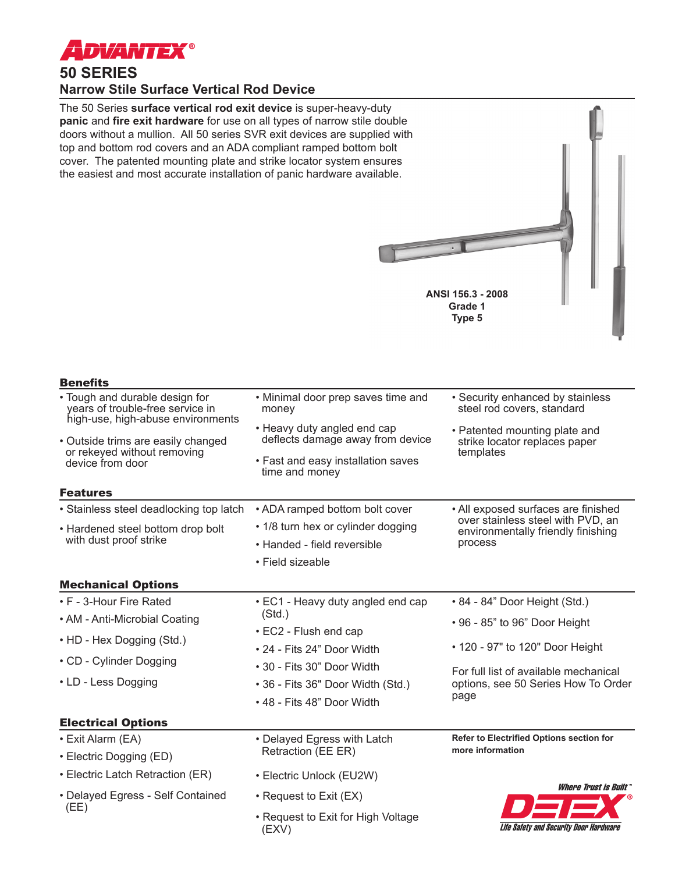

## **50 SERIES Narrow Stile Surface Vertical Rod Device**

The 50 Series **surface vertical rod exit device** is super-heavy-duty **panic** and **fire exit hardware** for use on all types of narrow stile double doors without a mullion. All 50 series SVR exit devices are supplied with top and bottom rod covers and an ADA compliant ramped bottom bolt cover. The patented mounting plate and strike locator system ensures the easiest and most accurate installation of panic hardware available.

|                                                                                                         | ANSI 156.3 - 2008<br>Grade 1<br>Type 5                          |                                                                                      |  |
|---------------------------------------------------------------------------------------------------------|-----------------------------------------------------------------|--------------------------------------------------------------------------------------|--|
| <b>Benefits</b>                                                                                         |                                                                 |                                                                                      |  |
| • Tough and durable design for<br>years of trouble-free service in<br>high-use, high-abuse environments | • Minimal door prep saves time and<br>money                     | • Security enhanced by stainless<br>steel rod covers, standard                       |  |
| • Outside trims are easily changed<br>or rekeyed without removing<br>device from door                   | • Heavy duty angled end cap<br>deflects damage away from device | • Patented mounting plate and<br>strike locator replaces paper<br>templates          |  |
|                                                                                                         | • Fast and easy installation saves<br>time and money            |                                                                                      |  |
| <b>Features</b>                                                                                         |                                                                 |                                                                                      |  |
| • Stainless steel deadlocking top latch                                                                 | • ADA ramped bottom bolt cover                                  | • All exposed surfaces are finished                                                  |  |
| • Hardened steel bottom drop bolt<br>with dust proof strike                                             | • 1/8 turn hex or cylinder dogging                              | over stainless steel with PVD, an<br>environmentally friendly finishing<br>process   |  |
|                                                                                                         | • Handed - field reversible                                     |                                                                                      |  |
|                                                                                                         | • Field sizeable                                                |                                                                                      |  |
| <b>Mechanical Options</b>                                                                               |                                                                 |                                                                                      |  |
| • F - 3-Hour Fire Rated                                                                                 | • EC1 - Heavy duty angled end cap                               | • 84 - 84" Door Height (Std.)                                                        |  |
| • AM - Anti-Microbial Coating                                                                           | (Std.)<br>• EC2 - Flush end cap<br>• 24 - Fits 24" Door Width   | • 96 - 85" to 96" Door Height                                                        |  |
| • HD - Hex Dogging (Std.)                                                                               |                                                                 |                                                                                      |  |
| • CD - Cylinder Dogging                                                                                 |                                                                 | • 120 - 97" to 120" Door Height                                                      |  |
| • LD - Less Dogging                                                                                     | • 30 - Fits 30" Door Width                                      | For full list of available mechanical<br>options, see 50 Series How To Order<br>page |  |
|                                                                                                         | • 36 - Fits 36" Door Width (Std.)                               |                                                                                      |  |
|                                                                                                         | • 48 - Fits 48" Door Width                                      |                                                                                      |  |
| <b>Electrical Options</b>                                                                               |                                                                 |                                                                                      |  |
| • Exit Alarm (EA)                                                                                       | • Delayed Egress with Latch<br>Retraction (EE ER)               | <b>Refer to Electrified Options section for</b><br>more information                  |  |
| • Electric Dogging (ED)                                                                                 |                                                                 |                                                                                      |  |
| • Electric Latch Retraction (ER)                                                                        | • Electric Unlock (EU2W)                                        | <i><b>Where Trust is Built</b></i>                                                   |  |
| • Delayed Egress - Self Contained<br>(EE)                                                               | • Request to Exit (EX)                                          | <u>ra far</u>                                                                        |  |

• Request to Exit for High Voltage (EXV)

Life Safety and Security Door Hardware